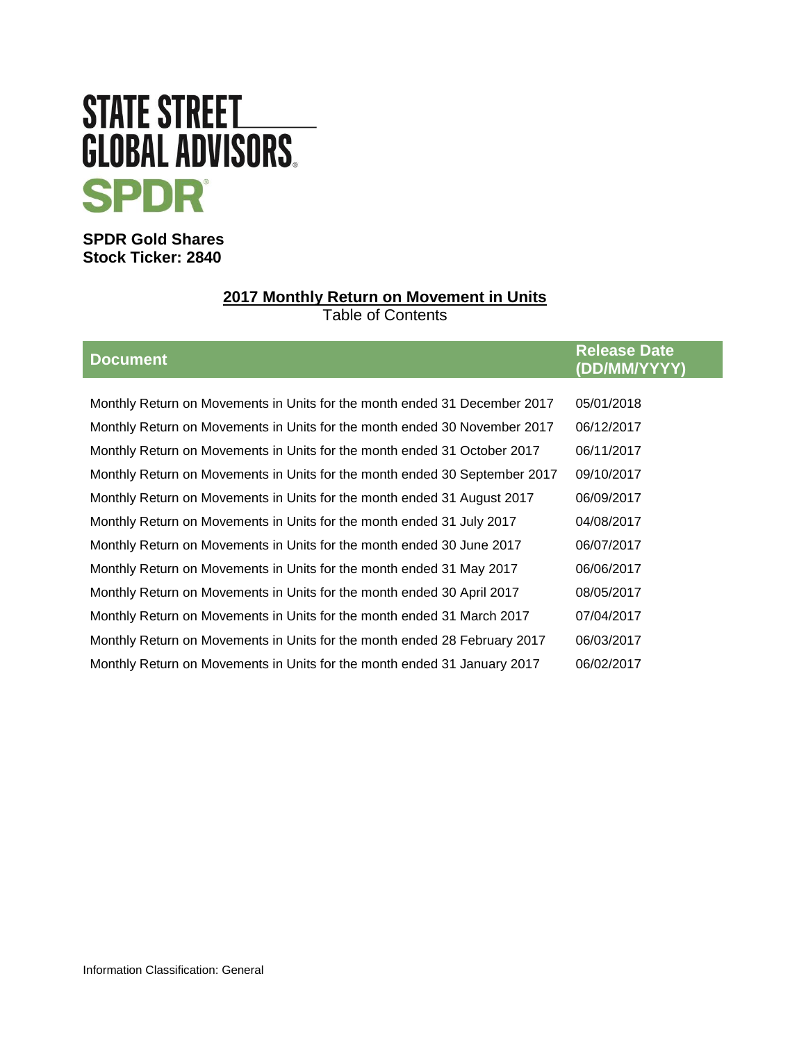# STATE STREET **GLOBAL ADVISORS SPDR**

**SPDR Gold Shares Stock Ticker: 2840**

# **2017 Monthly Return on Movement in Units**

Table of Contents

| <b>Document</b>                                                            | <b>Release Date</b><br>(DD/MM/YYYY) |
|----------------------------------------------------------------------------|-------------------------------------|
|                                                                            |                                     |
| Monthly Return on Movements in Units for the month ended 31 December 2017  | 05/01/2018                          |
| Monthly Return on Movements in Units for the month ended 30 November 2017  | 06/12/2017                          |
| Monthly Return on Movements in Units for the month ended 31 October 2017   | 06/11/2017                          |
| Monthly Return on Movements in Units for the month ended 30 September 2017 | 09/10/2017                          |
| Monthly Return on Movements in Units for the month ended 31 August 2017    | 06/09/2017                          |
| Monthly Return on Movements in Units for the month ended 31 July 2017      | 04/08/2017                          |
| Monthly Return on Movements in Units for the month ended 30 June 2017      | 06/07/2017                          |
| Monthly Return on Movements in Units for the month ended 31 May 2017       | 06/06/2017                          |
| Monthly Return on Movements in Units for the month ended 30 April 2017     | 08/05/2017                          |
| Monthly Return on Movements in Units for the month ended 31 March 2017     | 07/04/2017                          |
| Monthly Return on Movements in Units for the month ended 28 February 2017  | 06/03/2017                          |
| Monthly Return on Movements in Units for the month ended 31 January 2017   | 06/02/2017                          |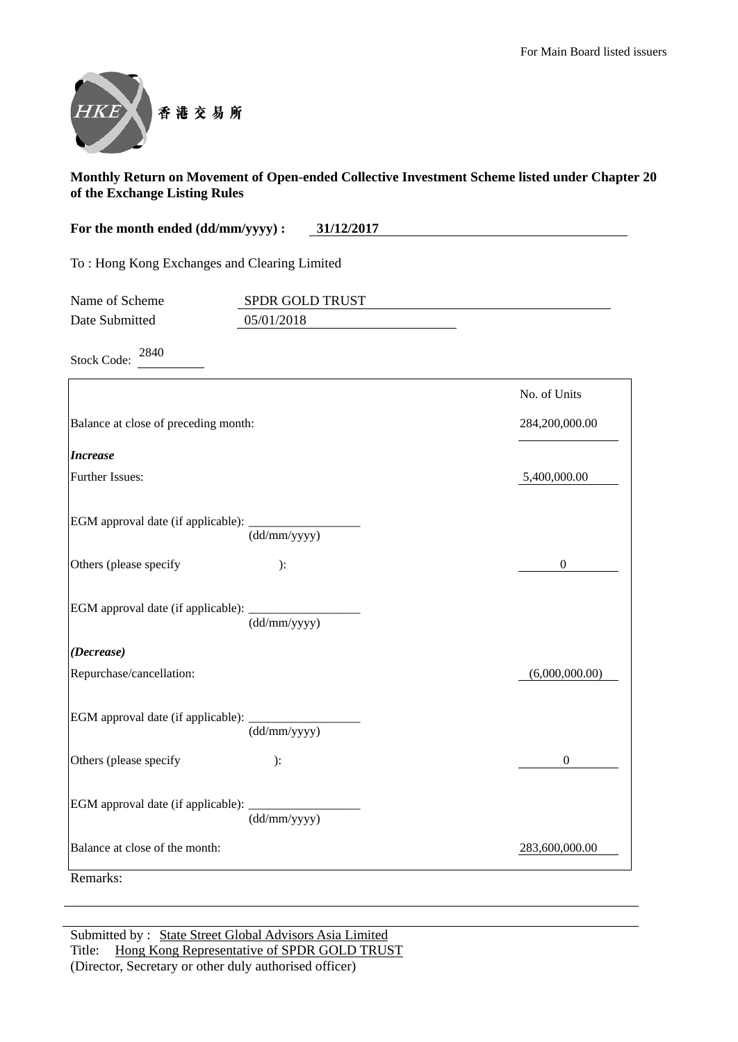

**For the month ended (dd/mm/yyyy) : 31/12/2017**

To : Hong Kong Exchanges and Clearing Limited

| Name of Scheme | <b>SPDR GOLD TRUST</b> |  |
|----------------|------------------------|--|
| Date Submitted | 05/01/2018             |  |

Stock Code: <sup>2840</sup>

|                                                  |                                  | No. of Units     |
|--------------------------------------------------|----------------------------------|------------------|
| Balance at close of preceding month:             |                                  | 284,200,000.00   |
| <b>Increase</b>                                  |                                  |                  |
| <b>Further Issues:</b>                           |                                  | 5,400,000.00     |
| EGM approval date (if applicable): _________     | $\overline{\text{(dd/mm/yyyy)}}$ |                  |
| Others (please specify                           | ):                               | $\boldsymbol{0}$ |
| EGM approval date (if applicable):               | (dd/mm/yyyy)                     |                  |
| (Decrease)                                       |                                  |                  |
| Repurchase/cancellation:                         |                                  | (6,000,000.00)   |
| EGM approval date (if applicable): _____________ | (dd/mm/yyyy)                     |                  |
| Others (please specify                           | ):                               | $\theta$         |
| EGM approval date (if applicable): _______       | (dd/mm/yyyy)                     |                  |
| Balance at close of the month:                   |                                  | 283,600,000.00   |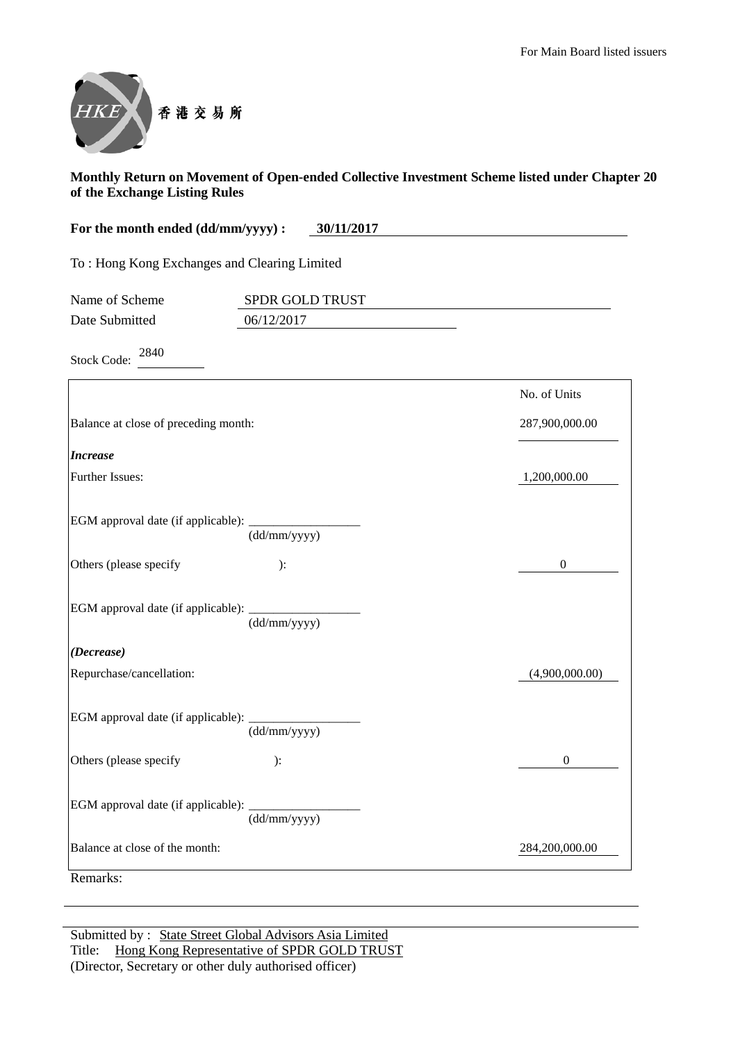

**For the month ended (dd/mm/yyyy) : 30/11/2017**

To : Hong Kong Exchanges and Clearing Limited

| Name of Scheme | <b>SPDR GOLD TRUST</b> |  |
|----------------|------------------------|--|
| Date Submitted | 06/12/2017             |  |

Stock Code: <sup>2840</sup>

|                                                 |              | No. of Units   |
|-------------------------------------------------|--------------|----------------|
| Balance at close of preceding month:            |              | 287,900,000.00 |
| <b>Increase</b>                                 |              |                |
| <b>Further Issues:</b>                          |              | 1,200,000.00   |
| EGM approval date (if applicable): _______      | (dd/mm/yyyy) |                |
| Others (please specify                          | ):           | $\mathbf{0}$   |
| EGM approval date (if applicable): __________   | (dd/mm/yyyy) |                |
| (Decrease)                                      |              |                |
| Repurchase/cancellation:                        |              | (4,900,000.00) |
| EGM approval date (if applicable): ____________ | (dd/mm/yyyy) |                |
| Others (please specify                          | ):           | $\mathbf{0}$   |
| EGM approval date (if applicable): _________    | (dd/mm/yyyy) |                |
| Balance at close of the month:                  |              | 284,200,000.00 |
| Remarks:                                        |              |                |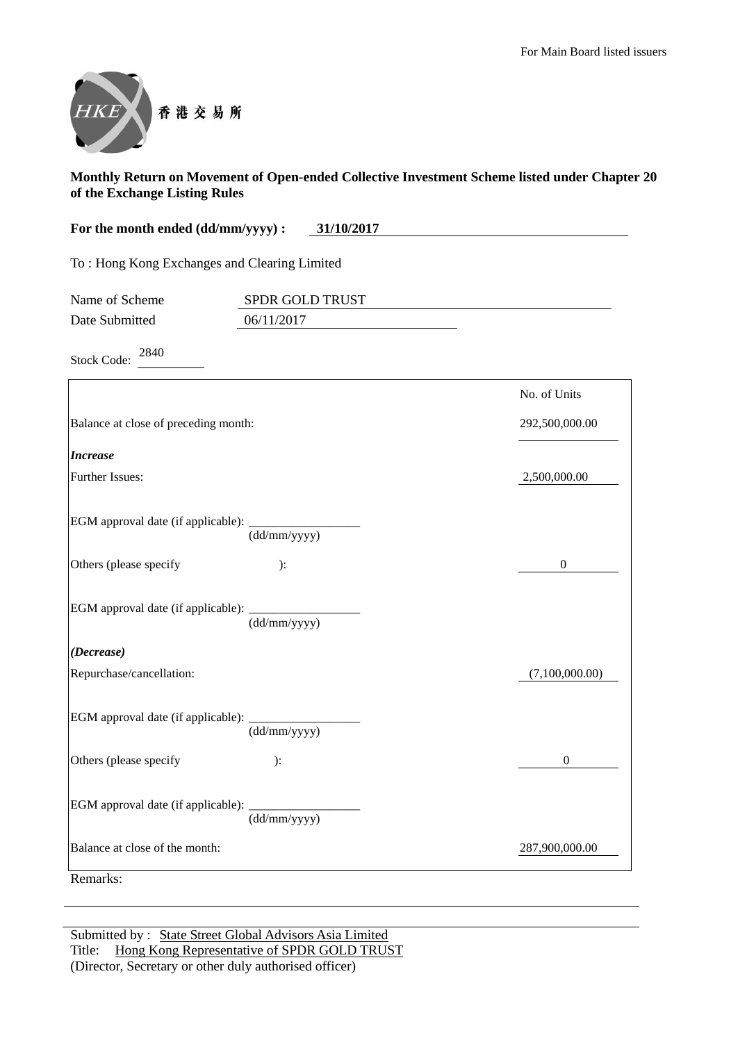

| For the month ended (dd/mm/yyyy) : | 31/10/2017 |  |
|------------------------------------|------------|--|
|------------------------------------|------------|--|

To : Hong Kong Exchanges and Clearing Limited

| Name of Scheme | <b>SPDR GOLD TRUST</b> |  |
|----------------|------------------------|--|
| Date Submitted | 06/11/2017             |  |

Stock Code: <sup>2840</sup>

|                                                   |                                  | No. of Units     |
|---------------------------------------------------|----------------------------------|------------------|
| Balance at close of preceding month:              |                                  | 292,500,000.00   |
| <b>Increase</b>                                   |                                  |                  |
| <b>Further Issues:</b>                            |                                  | 2,500,000.00     |
| EGM approval date (if applicable): _______        | $\overline{\text{(dd/mm/yyyy)}}$ |                  |
| Others (please specify                            | ):                               | $\boldsymbol{0}$ |
| EGM approval date (if applicable):                | $\overline{(dd/mm/yyyy)}$        |                  |
| (Decrease)                                        |                                  |                  |
| Repurchase/cancellation:                          |                                  | (7,100,000.00)   |
| EGM approval date (if applicable): ______________ | (dd/mm/yyyy)                     |                  |
| Others (please specify                            | ):                               | $\boldsymbol{0}$ |
| EGM approval date (if applicable): _________      | (dd/mm/yyyy)                     |                  |
| Balance at close of the month:                    |                                  | 287,900,000.00   |
| Remarks:                                          |                                  |                  |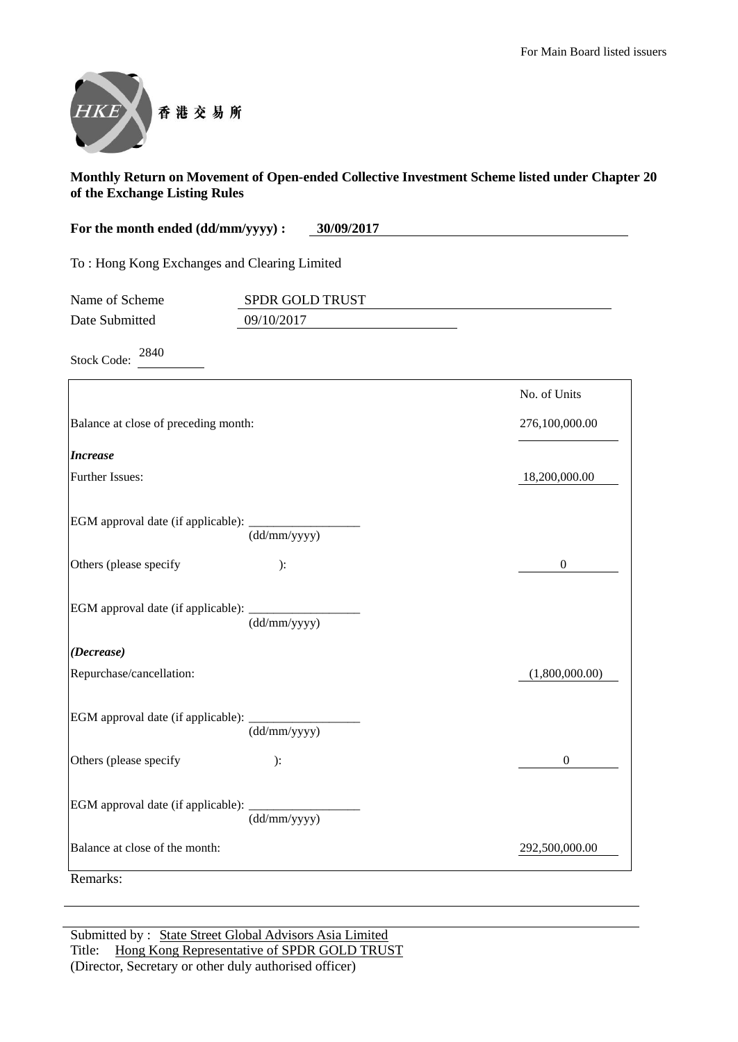

**For the month ended (dd/mm/yyyy) : 30/09/2017**

To : Hong Kong Exchanges and Clearing Limited

| Name of Scheme | <b>SPDR GOLD TRUST</b> |  |
|----------------|------------------------|--|
| Date Submitted | 09/10/2017             |  |

Stock Code: <sup>2840</sup>

|                                             |                                  | No. of Units     |
|---------------------------------------------|----------------------------------|------------------|
| Balance at close of preceding month:        |                                  | 276,100,000.00   |
| <b>Increase</b>                             |                                  |                  |
| <b>Further Issues:</b>                      |                                  | 18,200,000.00    |
| EGM approval date (if applicable): ________ | $\overline{\text{(dd/mm/yyyy)}}$ |                  |
| Others (please specify                      | ):                               | $\boldsymbol{0}$ |
|                                             | $\overline{\text{(dd/mm/yyyy)}}$ |                  |
| (Decrease)                                  |                                  |                  |
| Repurchase/cancellation:                    |                                  | (1,800,000.00)   |
|                                             | (dd/mm/yyyy)                     |                  |
| Others (please specify                      | ):                               | $\mathbf{0}$     |
| EGM approval date (if applicable): _______  | (dd/mm/yyyy)                     |                  |
| Balance at close of the month:              |                                  | 292,500,000.00   |
| Remarks:                                    |                                  |                  |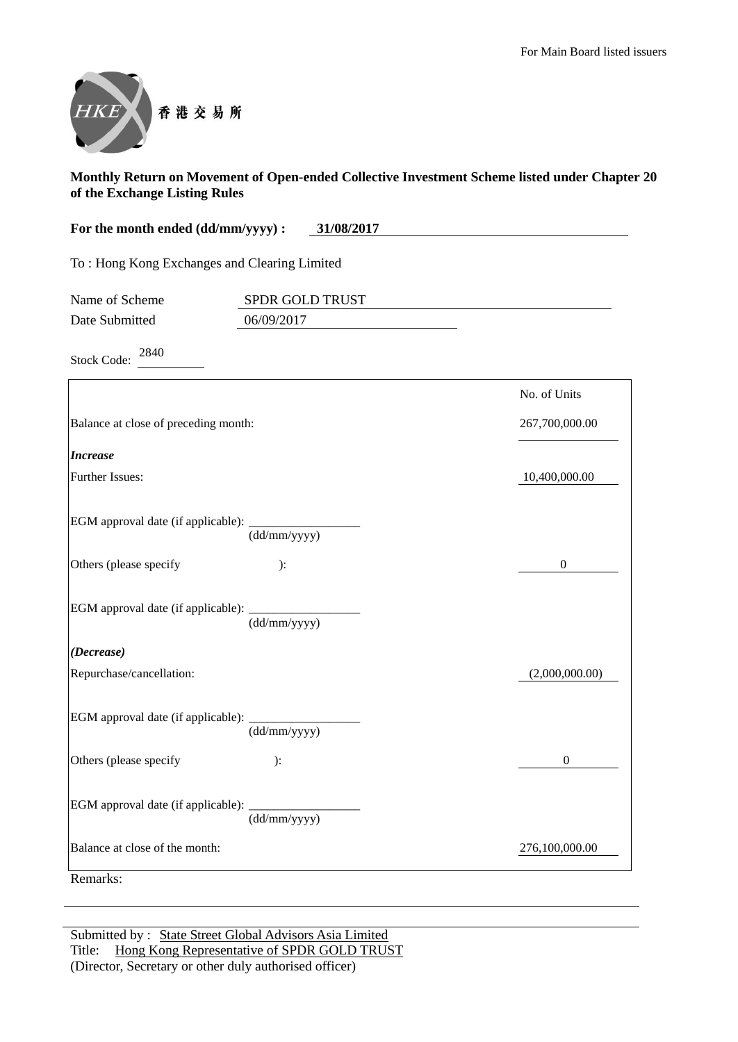

**For the month ended (dd/mm/yyyy) : 31/08/2017**

To : Hong Kong Exchanges and Clearing Limited

| Name of Scheme | <b>SPDR GOLD TRUST</b> |  |
|----------------|------------------------|--|
| Date Submitted | 06/09/2017             |  |

Stock Code: <sup>2840</sup>

|                                             |                                  | No. of Units   |
|---------------------------------------------|----------------------------------|----------------|
| Balance at close of preceding month:        |                                  | 267,700,000.00 |
| <b>Increase</b>                             |                                  |                |
| <b>Further Issues:</b>                      |                                  | 10,400,000.00  |
| EGM approval date (if applicable): ________ | $\overline{\text{(dd/mm/yyyy)}}$ |                |
| Others (please specify                      | ):                               | $\overline{0}$ |
|                                             | $\overline{\text{(dd/mm/yyyy)}}$ |                |
| (Decrease)                                  |                                  |                |
| Repurchase/cancellation:                    |                                  | (2,000,000.00) |
|                                             | (dd/mm/yyyy)                     |                |
| Others (please specify                      | ):                               | $\mathbf{0}$   |
| EGM approval date (if applicable): _______  | (dd/mm/yyyy)                     |                |
| Balance at close of the month:              |                                  | 276,100,000.00 |
| Remarks:                                    |                                  |                |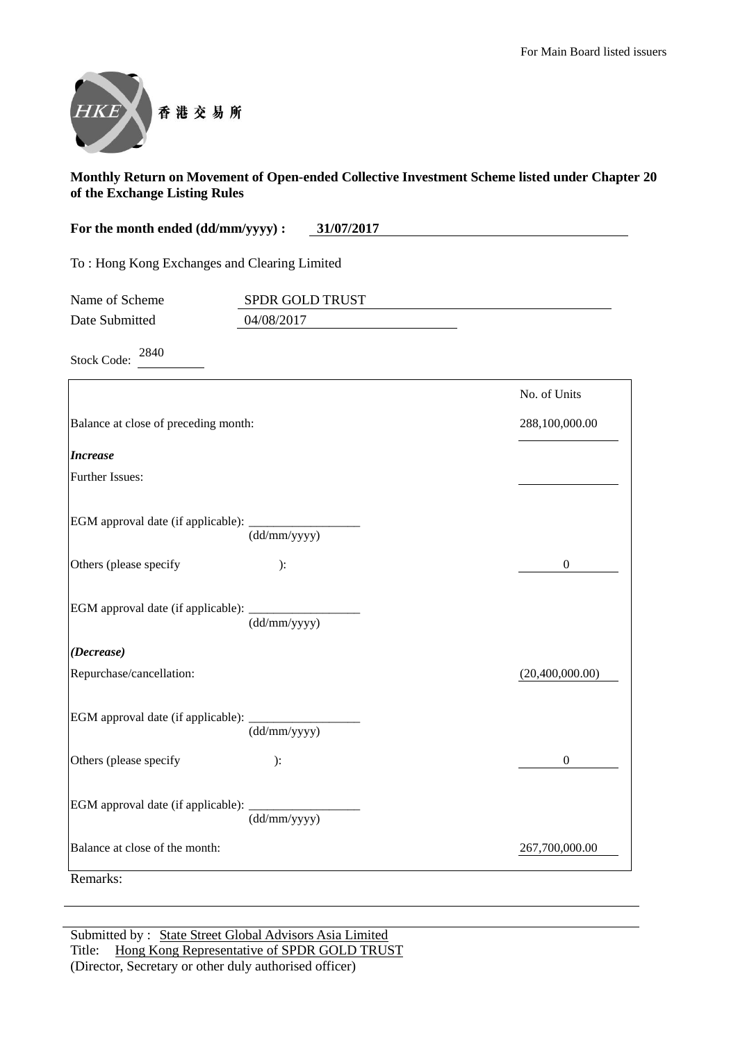

| For the month ended (dd/mm/yyyy) :           | 31/07/2017             |
|----------------------------------------------|------------------------|
| To: Hong Kong Exchanges and Clearing Limited |                        |
| Name of Scheme                               | <b>SPDR GOLD TRUST</b> |
| Date Submitted                               | 04/08/2017             |
| 2840<br><b>Stock Code:</b>                   |                        |

|                                                   |                                  | No. of Units     |
|---------------------------------------------------|----------------------------------|------------------|
| Balance at close of preceding month:              |                                  | 288,100,000.00   |
| <b>Increase</b>                                   |                                  |                  |
| <b>Further Issues:</b>                            |                                  |                  |
| EGM approval date (if applicable): ______________ | $\overline{(dd/mm/yyyy)}$        |                  |
| Others (please specify                            | ):                               | $\boldsymbol{0}$ |
| EGM approval date (if applicable): __________     | $\overline{(dd/mm/yyyy)}$        |                  |
| (Decrease)                                        |                                  |                  |
| Repurchase/cancellation:                          |                                  | (20,400,000.00)  |
| EGM approval date (if applicable): ___________    | $\overline{\text{(dd/mm/yyyy)}}$ |                  |
| Others (please specify                            | ):                               | $\mathbf{0}$     |
|                                                   | (dd/mm/yyyy)                     |                  |
|                                                   |                                  |                  |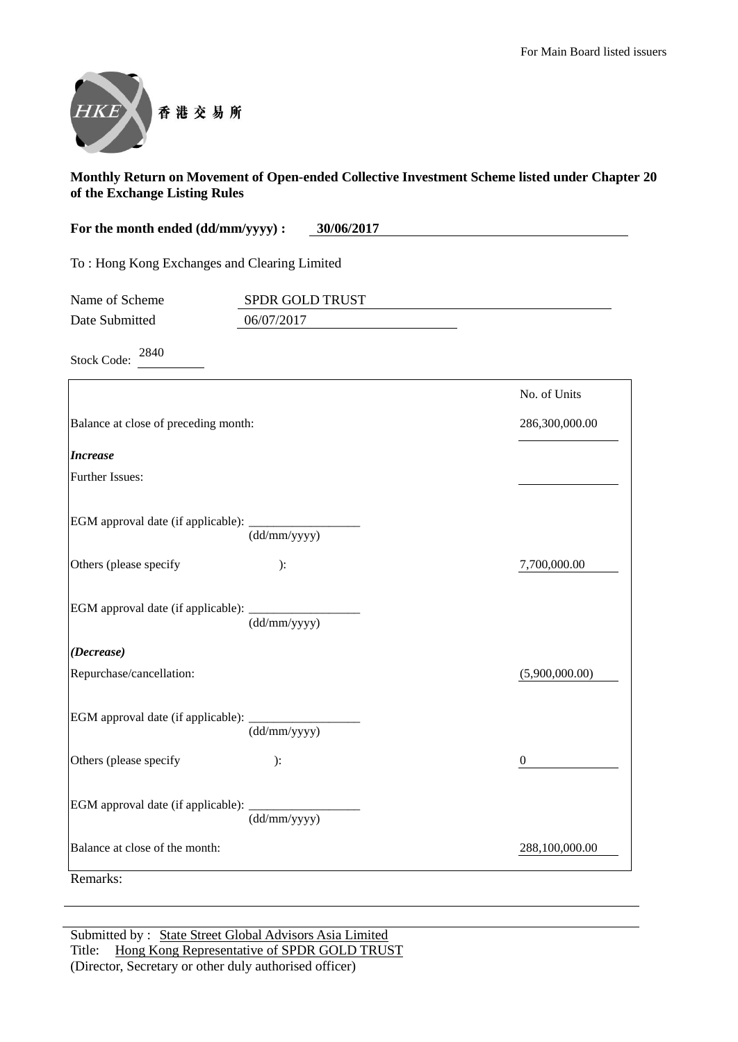

**For the month ended (dd/mm/yyyy) : 30/06/2017** To : Hong Kong Exchanges and Clearing Limited

| Name of Scheme | <b>SPDR GOLD TRUST</b> |
|----------------|------------------------|
| Date Submitted | 06/07/2017             |

Stock Code: <sup>2840</sup>

|                                             |                                  | No. of Units   |
|---------------------------------------------|----------------------------------|----------------|
| Balance at close of preceding month:        |                                  | 286,300,000.00 |
| <b>Increase</b>                             |                                  |                |
| <b>Further Issues:</b>                      |                                  |                |
| EGM approval date (if applicable): ________ | $\overline{\text{(dd/mm/yyyy)}}$ |                |
| Others (please specify                      | ):                               | 7,700,000.00   |
|                                             | (dd/mm/yyyy)                     |                |
| (Decrease)                                  |                                  |                |
| Repurchase/cancellation:                    |                                  | (5,900,000.00) |
|                                             | (dd/mm/yyyy)                     |                |
| Others (please specify                      | ):                               | $\mathbf{0}$   |
| EGM approval date (if applicable): ________ | (dd/mm/yyyy)                     |                |
| Balance at close of the month:              |                                  | 288,100,000.00 |
| Remarks:                                    |                                  |                |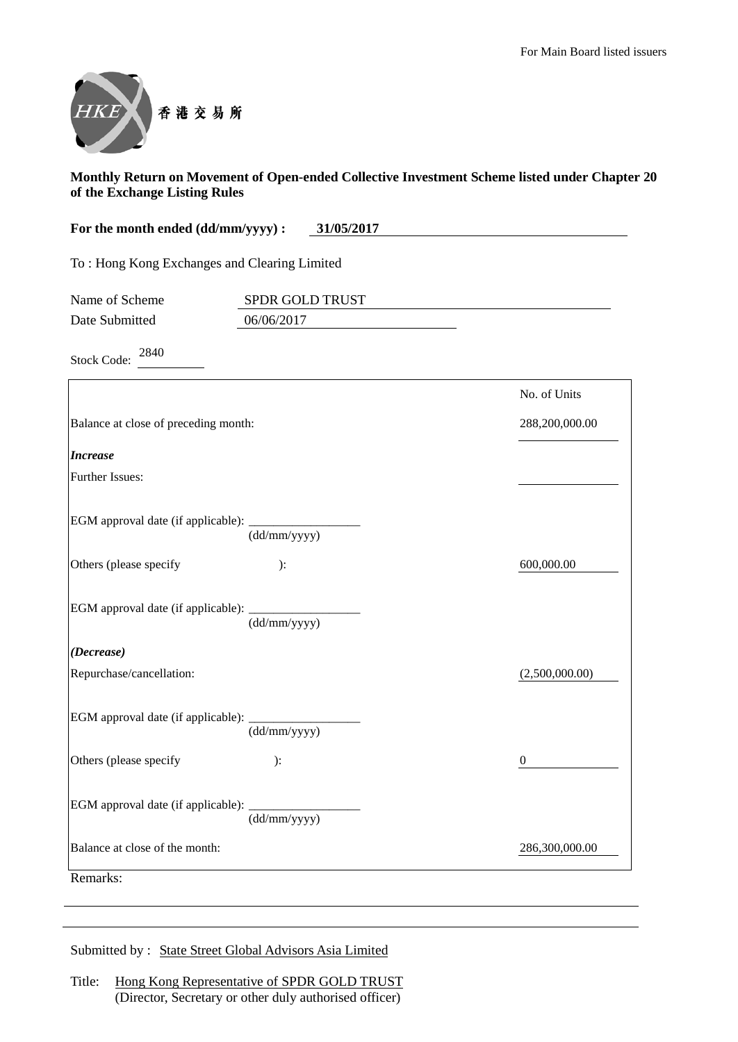

**For the month ended (dd/mm/yyyy) : 31/05/2017** To : Hong Kong Exchanges and Clearing Limited Name of Scheme SPDR GOLD TRUST Date Submitted 06/06/2017

Stock Code: <sup>2840</sup>

| Balance at close of preceding month: |                                                                                                                                                                                                        |
|--------------------------------------|--------------------------------------------------------------------------------------------------------------------------------------------------------------------------------------------------------|
|                                      | 288,200,000.00                                                                                                                                                                                         |
|                                      |                                                                                                                                                                                                        |
|                                      |                                                                                                                                                                                                        |
| (dd/mm/yyyy)                         |                                                                                                                                                                                                        |
| ):                                   | 600,000.00                                                                                                                                                                                             |
| (dd/mm/yyyy)                         |                                                                                                                                                                                                        |
|                                      |                                                                                                                                                                                                        |
|                                      | (2,500,000.00)                                                                                                                                                                                         |
| (dd/mm/yyyy)                         |                                                                                                                                                                                                        |
| ):                                   | $\theta$                                                                                                                                                                                               |
| (dd/mm/yyyy)                         |                                                                                                                                                                                                        |
|                                      | 286,300,000.00                                                                                                                                                                                         |
|                                      | EGM approval date (if applicable): ______________<br>EGM approval date (if applicable): _________<br>EGM approval date (if applicable): ________<br>EGM approval date (if applicable): _______________ |

Submitted by : State Street Global Advisors Asia Limited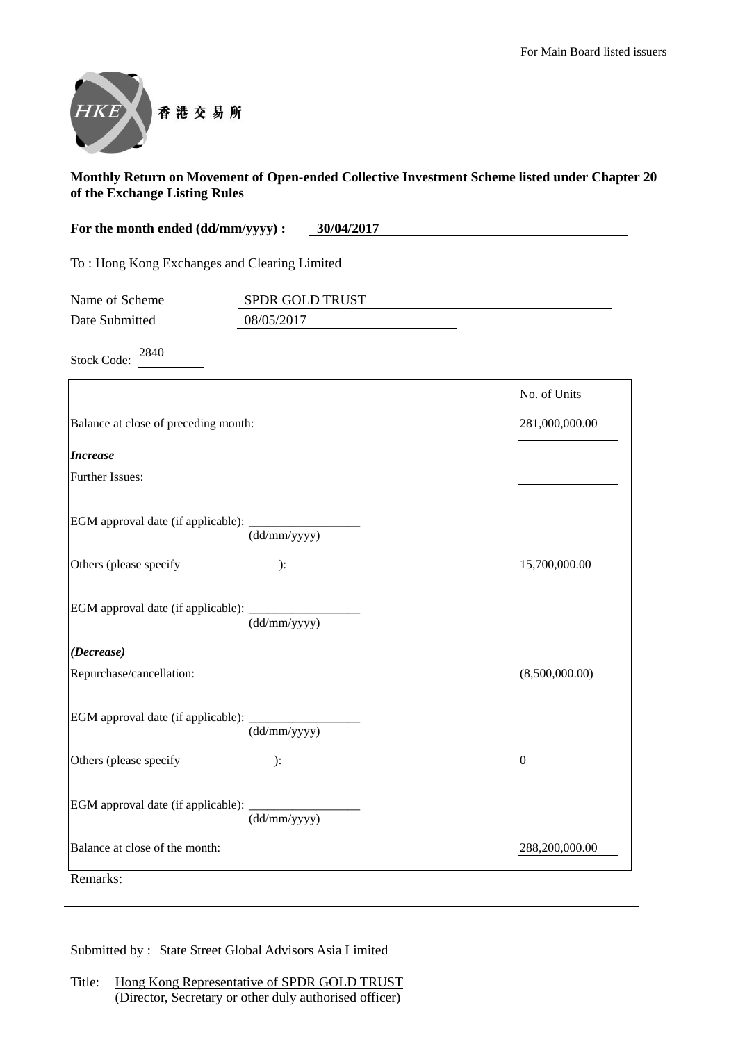

**For the month ended (dd/mm/yyyy) : 30/04/2017** To : Hong Kong Exchanges and Clearing Limited Name of Scheme SPDR GOLD TRUST

Stock Code: <sup>2840</sup>

Date Submitted 08/05/2017

|                                                                                   | No. of Units     |
|-----------------------------------------------------------------------------------|------------------|
| Balance at close of preceding month:                                              | 281,000,000.00   |
| <b>Increase</b>                                                                   |                  |
| <b>Further Issues:</b>                                                            |                  |
| EGM approval date (if applicable): ________<br>$\overline{\text{(dd/mm/yyyy)}}$   |                  |
| Others (please specify<br>):                                                      | 15,700,000.00    |
| EGM approval date (if applicable): _<br>(dd/mm/yyyy)                              |                  |
| (Decrease)                                                                        |                  |
| Repurchase/cancellation:                                                          | (8,500,000.00)   |
| EGM approval date (if applicable): __________<br>$\overline{\text{(dd/mm/yyyy)}}$ |                  |
| Others (please specify<br>):                                                      | $\boldsymbol{0}$ |
| (dd/mm/yyyy)                                                                      |                  |
| Balance at close of the month:                                                    | 288,200,000.00   |

Submitted by : State Street Global Advisors Asia Limited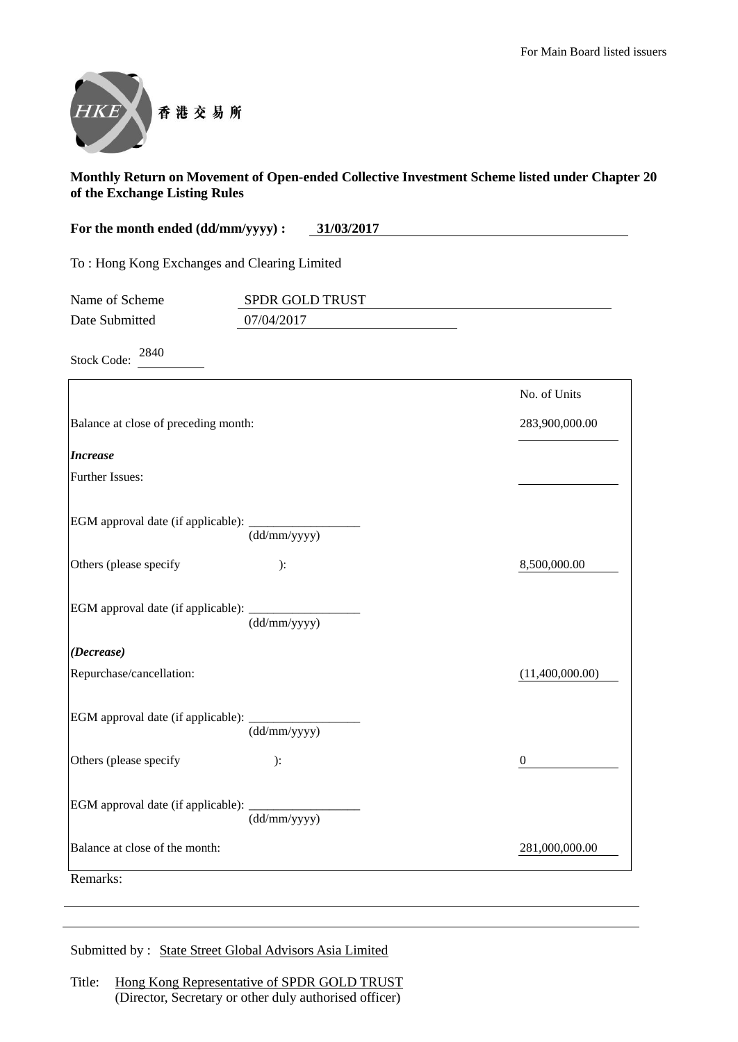

| For the month ended (dd/mm/yyyy) : | 31/03/2017 |
|------------------------------------|------------|
|                                    |            |

To : Hong Kong Exchanges and Clearing Limited

| Name of Scheme | <b>SPDR GOLD TRUST</b> |  |
|----------------|------------------------|--|
| Date Submitted | 07/04/2017             |  |

Stock Code: <sup>2840</sup>

|                                                  |                           | No. of Units     |
|--------------------------------------------------|---------------------------|------------------|
| Balance at close of preceding month:             |                           | 283,900,000.00   |
| <b>Increase</b>                                  |                           |                  |
| <b>Further Issues:</b>                           |                           |                  |
|                                                  | $\frac{1}{(dd/mm/yyyy)}$  |                  |
| Others (please specify                           | ):                        | 8,500,000.00     |
| EGM approval date (if applicable): $\frac{d}{d}$ |                           |                  |
| (Decrease)                                       |                           |                  |
| Repurchase/cancellation:                         |                           | (11,400,000.00)  |
| EGM approval date (if applicable): ____________  | $\overline{(dd/mm/yyyy)}$ |                  |
| Others (please specify                           | ):                        | $\boldsymbol{0}$ |
|                                                  | (dd/mm/yyyy)              |                  |
| Balance at close of the month:                   |                           | 281,000,000.00   |
| Remarks:                                         |                           |                  |

Submitted by : State Street Global Advisors Asia Limited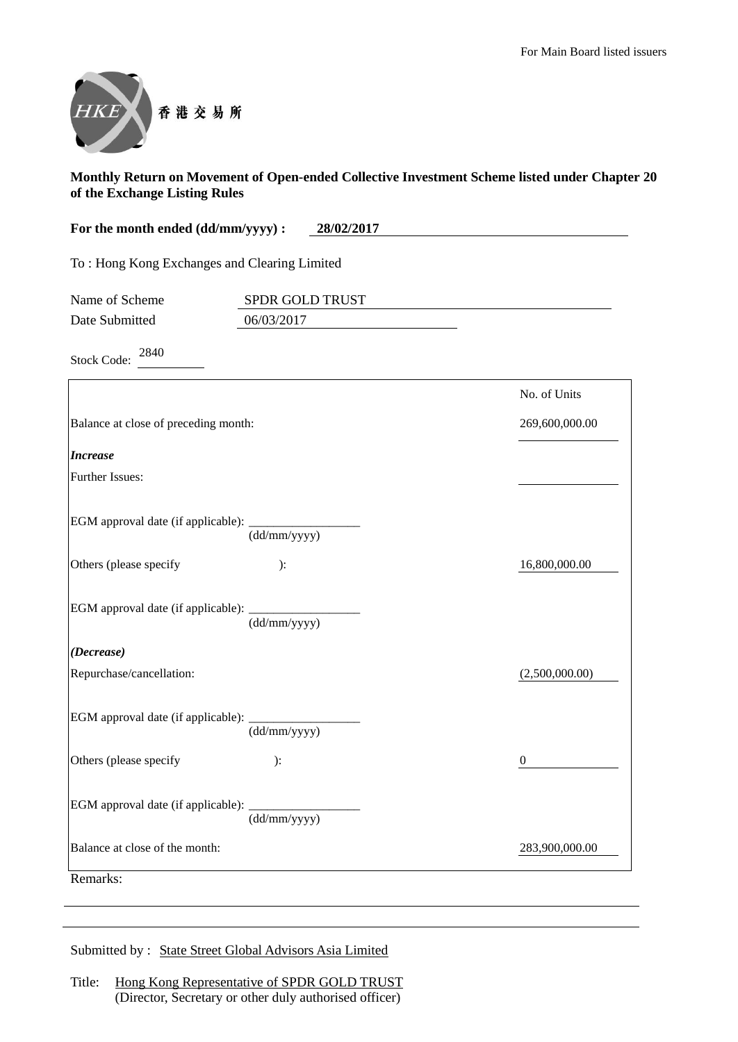

| For the month ended (dd/mm/yyyy) :           | 28/02/2017             |  |
|----------------------------------------------|------------------------|--|
| To: Hong Kong Exchanges and Clearing Limited |                        |  |
| Name of Scheme                               | <b>SPDR GOLD TRUST</b> |  |

Date Submitted 06/03/2017

Stock Code:  $2840$ 

|                                                   |                                            | No. of Units   |
|---------------------------------------------------|--------------------------------------------|----------------|
| Balance at close of preceding month:              |                                            | 269,600,000.00 |
| <b>Increase</b>                                   |                                            |                |
| <b>Further Issues:</b>                            |                                            |                |
| EGM approval date (if applicable): ______________ | $\frac{1}{(dd/mm/yyyy)}$                   |                |
| Others (please specify                            | ):                                         | 16,800,000.00  |
| EGM approval date (if applicable): __________     | $\frac{1}{\text{dd}/\text{mm}/\text{yyy}}$ |                |
| (Decrease)                                        |                                            |                |
| Repurchase/cancellation:                          |                                            | (2,500,000.00) |
| EGM approval date (if applicable): __________     | (dd/mm/yyyy)                               |                |
| Others (please specify                            | ):                                         | $\theta$       |
|                                                   | (dd/mm/yyyy)                               |                |
| Balance at close of the month:                    |                                            | 283,900,000.00 |
| Remarks:                                          |                                            |                |

Submitted by : State Street Global Advisors Asia Limited